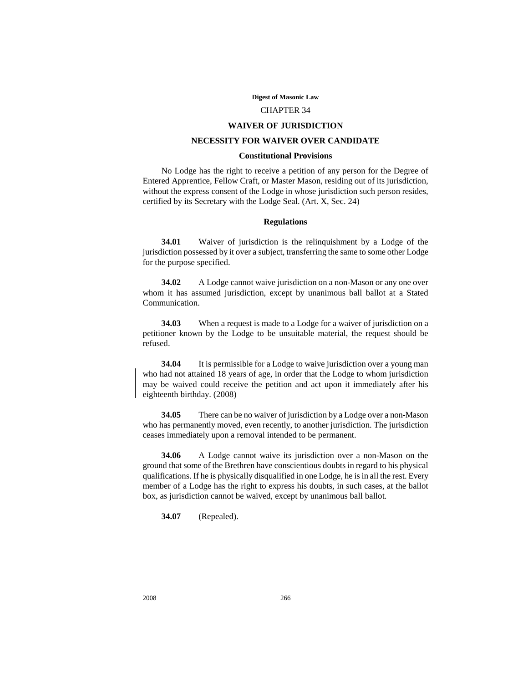#### **Digest of Masonic Law**

#### CHAPTER 34

#### **WAIVER OF JURISDICTION**

# **NECESSITY FOR WAIVER OVER CANDIDATE**

# **Constitutional Provisions**

No Lodge has the right to receive a petition of any person for the Degree of Entered Apprentice, Fellow Craft, or Master Mason, residing out of its jurisdiction, without the express consent of the Lodge in whose jurisdiction such person resides, certified by its Secretary with the Lodge Seal. (Art. X, Sec. 24)

# **Regulations**

**34.01** Waiver of jurisdiction is the relinquishment by a Lodge of the jurisdiction possessed by it over a subject, transferring the same to some other Lodge for the purpose specified.

**34.02** A Lodge cannot waive jurisdiction on a non-Mason or any one over whom it has assumed jurisdiction, except by unanimous ball ballot at a Stated Communication.

**34.03** When a request is made to a Lodge for a waiver of jurisdiction on a petitioner known by the Lodge to be unsuitable material, the request should be refused.

**34.04** It is permissible for a Lodge to waive jurisdiction over a young man who had not attained 18 years of age, in order that the Lodge to whom jurisdiction may be waived could receive the petition and act upon it immediately after his eighteenth birthday. (2008)

**34.05** There can be no waiver of jurisdiction by a Lodge over a non-Mason who has permanently moved, even recently, to another jurisdiction. The jurisdiction ceases immediately upon a removal intended to be permanent.

**34.06** A Lodge cannot waive its jurisdiction over a non-Mason on the ground that some of the Brethren have conscientious doubts in regard to his physical qualifications. If he is physically disqualified in one Lodge, he is in all the rest. Every member of a Lodge has the right to express his doubts, in such cases, at the ballot box, as jurisdiction cannot be waived, except by unanimous ball ballot.

**34.07** (Repealed).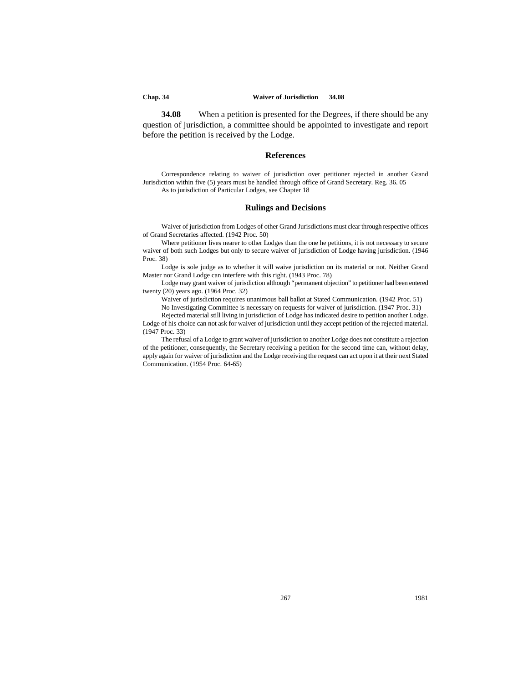#### **Chap. 34 Waiver of Jurisdiction 34.08**

**34.08** When a petition is presented for the Degrees, if there should be any question of jurisdiction, a committee should be appointed to investigate and report before the petition is received by the Lodge.

# **References**

Correspondence relating to waiver of jurisdiction over petitioner rejected in another Grand Jurisdiction within five (5) years must be handled through office of Grand Secretary. Reg. 36. 05 As to jurisdiction of Particular Lodges, see Chapter 18

### **Rulings and Decisions**

Waiver of jurisdiction from Lodges of other Grand Jurisdictions must clear through respective offices of Grand Secretaries affected. (1942 Proc. 50)

Where petitioner lives nearer to other Lodges than the one he petitions, it is not necessary to secure waiver of both such Lodges but only to secure waiver of jurisdiction of Lodge having jurisdiction. (1946 Proc. 38)

Lodge is sole judge as to whether it will waive jurisdiction on its material or not. Neither Grand Master nor Grand Lodge can interfere with this right. (1943 Proc. 78)

Lodge may grant waiver of jurisdiction although "permanent objection" to petitioner had been entered twenty (20) years ago. (1964 Proc. 32)

Waiver of jurisdiction requires unanimous ball ballot at Stated Communication. (1942 Proc. 51) No Investigating Committee is necessary on requests for waiver of jurisdiction. (1947 Proc. 31)

Rejected material still living in jurisdiction of Lodge has indicated desire to petition another Lodge. Lodge of his choice can not ask for waiver of jurisdiction until they accept petition of the rejected material. (1947 Proc. 33)

The refusal of a Lodge to grant waiver of jurisdiction to another Lodge does not constitute a rejection of the petitioner, consequently, the Secretary receiving a petition for the second time can, without delay, apply again for waiver of jurisdiction and the Lodge receiving the request can act upon it at their next Stated Communication. (1954 Proc. 64-65)